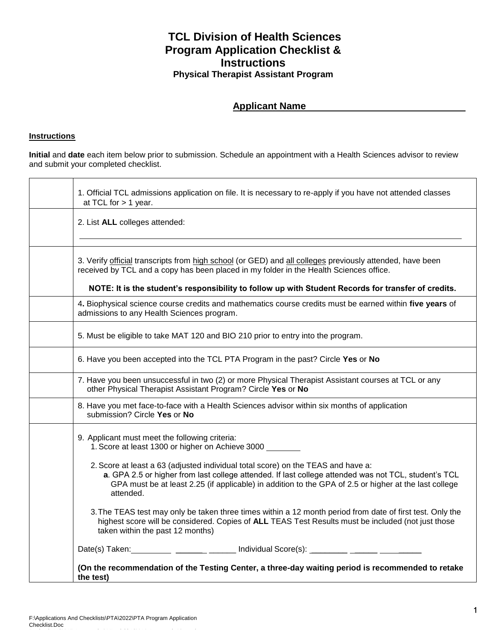## **TCL Division of Health Sciences Program Application Checklist & Instructions Physical Therapist Assistant Program**

## **Applicant Name**

## **Instructions**

**Initial** and **date** each item below prior to submission. Schedule an appointment with a Health Sciences advisor to review and submit your completed checklist.

| at TCL for $> 1$ year.                                                                                                                                                                                                                                                                                         |
|----------------------------------------------------------------------------------------------------------------------------------------------------------------------------------------------------------------------------------------------------------------------------------------------------------------|
| 2. List ALL colleges attended:                                                                                                                                                                                                                                                                                 |
| 3. Verify official transcripts from high school (or GED) and all colleges previously attended, have been<br>received by TCL and a copy has been placed in my folder in the Health Sciences office.                                                                                                             |
| NOTE: It is the student's responsibility to follow up with Student Records for transfer of credits.                                                                                                                                                                                                            |
| 4. Biophysical science course credits and mathematics course credits must be earned within five years of<br>admissions to any Health Sciences program.                                                                                                                                                         |
| 5. Must be eligible to take MAT 120 and BIO 210 prior to entry into the program.                                                                                                                                                                                                                               |
| 6. Have you been accepted into the TCL PTA Program in the past? Circle Yes or No                                                                                                                                                                                                                               |
| 7. Have you been unsuccessful in two (2) or more Physical Therapist Assistant courses at TCL or any<br>other Physical Therapist Assistant Program? Circle Yes or No                                                                                                                                            |
| 8. Have you met face-to-face with a Health Sciences advisor within six months of application<br>submission? Circle Yes or No                                                                                                                                                                                   |
| 9. Applicant must meet the following criteria:<br>1. Score at least 1300 or higher on Achieve 3000                                                                                                                                                                                                             |
| 2. Score at least a 63 (adjusted individual total score) on the TEAS and have a:<br>a. GPA 2.5 or higher from last college attended. If last college attended was not TCL, student's TCL<br>GPA must be at least 2.25 (if applicable) in addition to the GPA of 2.5 or higher at the last college<br>attended. |
| 3. The TEAS test may only be taken three times within a 12 month period from date of first test. Only the<br>highest score will be considered. Copies of ALL TEAS Test Results must be included (not just those<br>taken within the past 12 months)                                                            |
| Date(s) Taken: ___________ ________ _______ Individual Score(s): ________ ______ ______                                                                                                                                                                                                                        |